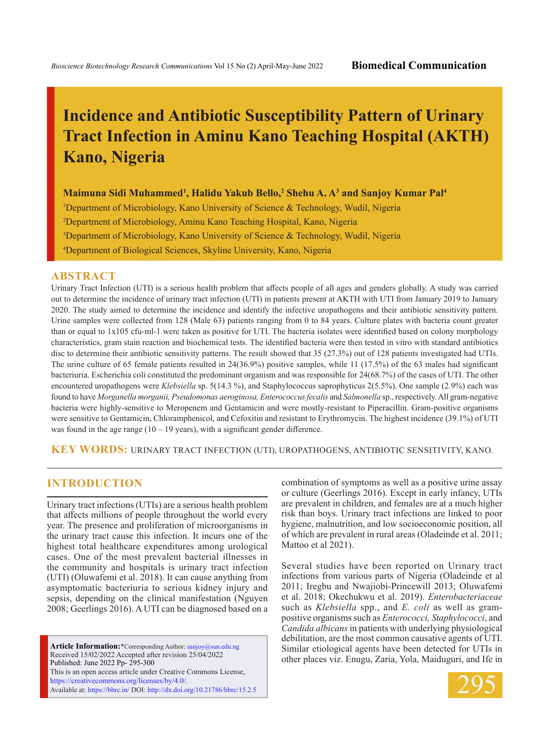# **Incidence and Antibiotic Susceptibility Pattern of Urinary Tract Infection in Aminu Kano Teaching Hospital (AKTH) Kano, Nigeria**

#### **Maimuna Sidi Muhammed1 , Halidu Yakub Bello,2 Shehu A. A3 and Sanjoy Kumar Pal4**

 Department of Microbiology, Kano University of Science & Technology, Wudil, Nigeria Department of Microbiology, Aminu Kano Teaching Hospital, Kano, Nigeria Department of Microbiology, Kano University of Science & Technology, Wudil, Nigeria Department of Biological Sciences, Skyline University, Kano, Nigeria

#### **ABSTRACT**

Urinary Tract Infection (UTI) is a serious health problem that affects people of all ages and genders globally. A study was carried out to determine the incidence of urinary tract infection (UTI) in patients present at AKTH with UTI from January 2019 to January 2020. The study aimed to determine the incidence and identify the infective uropathogens and their antibiotic sensitivity pattern. Urine samples were collected from 128 (Male 63) patients ranging from 0 to 84 years. Culture plates with bacteria count greater than or equal to 1x105 cfu-ml-1 were taken as positive for UTI. The bacteria isolates were identified based on colony morphology characteristics, gram stain reaction and biochemical tests. The identified bacteria were then tested in vitro with standard antibiotics disc to determine their antibiotic sensitivity patterns. The result showed that 35 (27.3%) out of 128 patients investigated had UTIs. The urine culture of 65 female patients resulted in 24(36.9%) positive samples, while 11 (17.5%) of the 63 males had significant bacteriuria. Escherichia coli constituted the predominant organism and was responsible for 24(68.7%) of the cases of UTI. The other encountered uropathogens were *Klebsiella* sp. 5(14.3 %), and Staphylococcus saprophyticus 2(5.5%). One sample (2.9%) each was found to have *Morganella morganii, Pseudomonas aeroginosa, Enterococcus fecalis* and *Salmonella* sp., respectively. All gram-negative bacteria were highly-sensitive to Meropenem and Gentamicin and were mostly-resistant to Piperacillin. Gram-positive organisms were sensitive to Gentamicin, Chloramphenicol, and Cefoxitin and resistant to Erythromycin. The highest incidence (39.1%) of UTI was found in the age range  $(10 - 19$  years), with a significant gender difference.

**KEY WORDS:** Urinary Tract Infection (UTI), uropathogens, antibiotic sensitivity, Kano.

### **INTRODUCTION**

Urinary tract infections (UTIs) are a serious health problem that affects millions of people throughout the world every year. The presence and proliferation of microorganisms in the urinary tract cause this infection. It incurs one of the highest total healthcare expenditures among urological cases. One of the most prevalent bacterial illnesses in the community and hospitals is urinary tract infection (UTI) (Oluwafemi et al. 2018). It can cause anything from asymptomatic bacteriuria to serious kidney injury and sepsis, depending on the clinical manifestation (Nguyen 2008; Geerlings 2016). A UTI can be diagnosed based on a

**Article Information:\***Corresponding Author: sanjoy@sun.edu.ng Received 15/02/2022 Accepted after revision 25/04/2022 Published: June 2022 Pp- 295-300 This is an open access article under Creative Commons License, https://creativecommons.org/licenses/by/4.0/. Available at: https://bbrc.in/ DOI: http://dx.doi.org/10.21786/bbrc/15.2.5 combination of symptoms as well as a positive urine assay or culture (Geerlings 2016). Except in early infancy, UTIs are prevalent in children, and females are at a much higher risk than boys. Urinary tract infections are linked to poor hygiene, malnutrition, and low socioeconomic position, all of which are prevalent in rural areas (Oladeinde et al. 2011; Mattoo et al 2021).

Several studies have been reported on Urinary tract infections from various parts of Nigeria (Oladeinde et al 2011; Iregbu and Nwajiobi-Princewill 2013; Oluwafemi et al. 2018; Okechukwu et al. 2019). *Enterobacteriaceae*  such as *Klebsiella* spp., and *E. coli* as well as grampositive organisms such as *Enterococci, Staphylococci*, and *Candida albicans* in patients with underlying physiological debilitation, are the most common causative agents of UTI. Similar etiological agents have been detected for UTIs in other places viz. Enugu, Zaria, Yola, Maiduguri, and Ife in

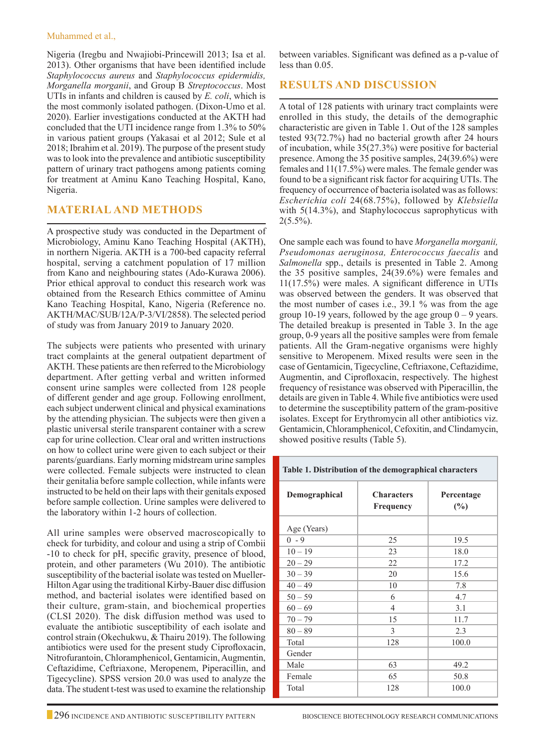#### Muhammed et al.,

Nigeria (Iregbu and Nwajiobi-Princewill 2013; Isa et al. 2013). Other organisms that have been identified include *Staphylococcus aureus* and *Staphylococcus epidermidis, Morganella morganii*, and Group B *Streptococcus*. Most UTIs in infants and children is caused by *E. coli*, which is the most commonly isolated pathogen. (Dixon-Umo et al. 2020). Earlier investigations conducted at the AKTH had concluded that the UTI incidence range from 1.3% to 50% in various patient groups (Yakasai et al 2012; Sule et al 2018; Ibrahim et al. 2019). The purpose of the present study was to look into the prevalence and antibiotic susceptibility pattern of urinary tract pathogens among patients coming for treatment at Aminu Kano Teaching Hospital, Kano, Nigeria.

### **Material and Methods**

A prospective study was conducted in the Department of Microbiology, Aminu Kano Teaching Hospital (AKTH), in northern Nigeria. AKTH is a 700-bed capacity referral hospital, serving a catchment population of 17 million from Kano and neighbouring states (Ado-Kurawa 2006). Prior ethical approval to conduct this research work was obtained from the Research Ethics committee of Aminu Kano Teaching Hospital, Kano, Nigeria (Reference no. AKTH/MAC/SUB/12A/P-3/VI/2858). The selected period of study was from January 2019 to January 2020.

The subjects were patients who presented with urinary tract complaints at the general outpatient department of AKTH. These patients are then referred to the Microbiology department. After getting verbal and written informed consent urine samples were collected from 128 people of different gender and age group. Following enrollment, each subject underwent clinical and physical examinations by the attending physician. The subjects were then given a plastic universal sterile transparent container with a screw cap for urine collection. Clear oral and written instructions on how to collect urine were given to each subject or their parents/guardians. Early morning midstream urine samples were collected. Female subjects were instructed to clean their genitalia before sample collection, while infants were instructed to be held on their laps with their genitals exposed before sample collection. Urine samples were delivered to the laboratory within 1-2 hours of collection.

All urine samples were observed macroscopically to check for turbidity, and colour and using a strip of Combii -10 to check for pH, specific gravity, presence of blood, protein, and other parameters (Wu 2010). The antibiotic susceptibility of the bacterial isolate was tested on Mueller-Hilton Agar using the traditional Kirby-Bauer disc diffusion method, and bacterial isolates were identified based on their culture, gram-stain, and biochemical properties (CLSI 2020). The disk diffusion method was used to evaluate the antibiotic susceptibility of each isolate and control strain (Okechukwu, & Thairu 2019). The following antibiotics were used for the present study Ciprofloxacin, Nitrofurantoin, Chloramphenicol, Gentamicin, Augmentin, Ceftazidime, Ceftriaxone, Meropenem, Piperacillin, and Tigecycline). SPSS version 20.0 was used to analyze the data. The student t-test was used to examine the relationship

between variables. Significant was defined as a p-value of less than 0.05.

# **Results and Discussion**

A total of 128 patients with urinary tract complaints were enrolled in this study, the details of the demographic characteristic are given in Table 1. Out of the 128 samples tested 93(72.7%) had no bacterial growth after 24 hours of incubation, while 35(27.3%) were positive for bacterial presence. Among the 35 positive samples, 24(39.6%) were females and 11(17.5%) were males. The female gender was found to be a significant risk factor for acquiring UTIs. The frequency of occurrence of bacteria isolated was as follows: *Escherichia coli* 24(68.75%), followed by *Klebsiella*  with 5(14.3%), and Staphylococcus saprophyticus with  $2(5.5\%)$ .

One sample each was found to have *Morganella morganii, Pseudomonas aeruginosa, Enterococcus faecalis* and *Salmonella* spp., details is presented in Table 2. Among the 35 positive samples, 24(39.6%) were females and 11(17.5%) were males. A significant difference in UTIs was observed between the genders. It was observed that the most number of cases i.e., 39.1 % was from the age group 10-19 years, followed by the age group  $0 - 9$  years. The detailed breakup is presented in Table 3. In the age group, 0-9 years all the positive samples were from female patients. All the Gram-negative organisms were highly sensitive to Meropenem. Mixed results were seen in the case of Gentamicin, Tigecycline, Ceftriaxone, Ceftazidime, Augmentin, and Ciprofloxacin, respectively. The highest frequency of resistance was observed with Piperacillin, the details are given in Table 4. While five antibiotics were used to determine the susceptibility pattern of the gram-positive isolates. Except for Erythromycin all other antibiotics viz. Gentamicin, Chloramphenicol, Cefoxitin, and Clindamycin, showed positive results (Table 5).

| Table 1. Distribution of the demographical characters |                                |                      |  |  |  |  |  |  |  |
|-------------------------------------------------------|--------------------------------|----------------------|--|--|--|--|--|--|--|
| Demographical                                         | <b>Characters</b><br>Frequency | Percentage<br>$(\%)$ |  |  |  |  |  |  |  |
| Age (Years)                                           |                                |                      |  |  |  |  |  |  |  |
| $0 - 9$                                               | 25                             | 19.5                 |  |  |  |  |  |  |  |
| $10 - 19$                                             | 23                             | 18.0                 |  |  |  |  |  |  |  |
| $20 - 29$                                             | 22                             | 17.2                 |  |  |  |  |  |  |  |
| $30 - 39$                                             | 20                             | 15.6                 |  |  |  |  |  |  |  |
| $40 - 49$                                             | 10                             | 7.8                  |  |  |  |  |  |  |  |
| $50 - 59$                                             | 6                              | 4.7                  |  |  |  |  |  |  |  |
| $60 - 69$                                             | 4                              | 3.1                  |  |  |  |  |  |  |  |
| $70 - 79$                                             | 15                             | 11.7                 |  |  |  |  |  |  |  |
| $80 - 89$                                             | 3                              | 2.3                  |  |  |  |  |  |  |  |
| Total                                                 | 128                            | 100.0                |  |  |  |  |  |  |  |
| Gender                                                |                                |                      |  |  |  |  |  |  |  |
| Male                                                  | 63                             | 49.2                 |  |  |  |  |  |  |  |
| Female                                                | 65                             | 50.8                 |  |  |  |  |  |  |  |
| Total                                                 | 128                            | 100.0                |  |  |  |  |  |  |  |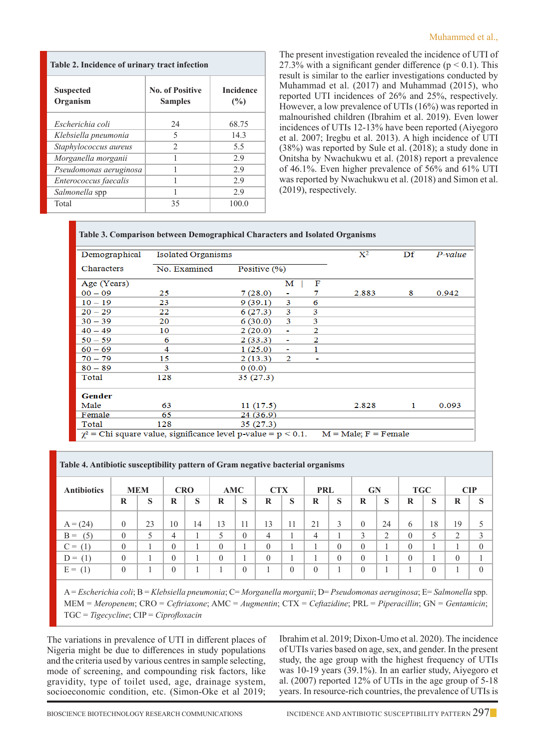| Table 2. Incidence of urinary tract infection |                                          |                         |  |  |  |  |  |  |  |  |
|-----------------------------------------------|------------------------------------------|-------------------------|--|--|--|--|--|--|--|--|
| <b>Suspected</b><br>Organism                  | <b>No. of Positive</b><br><b>Samples</b> | <b>Incidence</b><br>(%) |  |  |  |  |  |  |  |  |
| Escherichia coli                              | 24                                       | 68.75                   |  |  |  |  |  |  |  |  |
| Klebsiella pneumonia                          | 5                                        | 14.3                    |  |  |  |  |  |  |  |  |
| Staphylococcus aureus                         | $\mathfrak{D}$                           | 5.5                     |  |  |  |  |  |  |  |  |
| Morganella morganii                           |                                          | 2.9                     |  |  |  |  |  |  |  |  |
| Pseudomonas aeruginosa                        |                                          | 2.9                     |  |  |  |  |  |  |  |  |
| Enterococcus faecalis                         | 1                                        | 2.9                     |  |  |  |  |  |  |  |  |
| Salmonella spp                                |                                          | 2.9                     |  |  |  |  |  |  |  |  |
| Total                                         | 35                                       | 100.0                   |  |  |  |  |  |  |  |  |

The present investigation revealed the incidence of UTI of 27.3% with a significant gender difference ( $p < 0.1$ ). This result is similar to the earlier investigations conducted by Muhammad et al. (2017) and Muhammad (2015), who reported UTI incidences of 26% and 25%, respectively. However, a low prevalence of UTIs (16%) was reported in malnourished children (Ibrahim et al. 2019). Even lower incidences of UTIs 12-13% have been reported (Aiyegoro et al. 2007; Iregbu et al. 2013). A high incidence of UTI (38%) was reported by Sule et al. (2018); a study done in Onitsha by Nwachukwu et al. (2018) report a prevalence of 46.1%. Even higher prevalence of 56% and 61% UTI was reported by Nwachukwu et al. (2018) and Simon et al. (2019), respectively.

| Table 3. Comparison between Demographical Characters and Isolated Organisms |                                                                    |              |                |   |                           |                |           |  |  |  |  |
|-----------------------------------------------------------------------------|--------------------------------------------------------------------|--------------|----------------|---|---------------------------|----------------|-----------|--|--|--|--|
| Demographical                                                               | Isolated Organisms                                                 |              |                |   | $X^2$                     | $\mathbf{D}$ f | $P-value$ |  |  |  |  |
| Characters                                                                  | No. Examined                                                       | Positive (%) |                |   |                           |                |           |  |  |  |  |
| Age (Years)                                                                 |                                                                    |              | м              | F |                           |                |           |  |  |  |  |
| $00 - 09$                                                                   | 25                                                                 | 7(28.0)      | ۰              | 7 | 2.883                     | 8              | 0.942     |  |  |  |  |
| $10 - 19$                                                                   | 23                                                                 | 9(39.1)      | 3              | 6 |                           |                |           |  |  |  |  |
| $20 - 29$                                                                   | 22                                                                 | 6(27.3)      | 3              | 3 |                           |                |           |  |  |  |  |
| $30 - 39$                                                                   | 20                                                                 | 6(30.0)      | 3              | 3 |                           |                |           |  |  |  |  |
| $40 - 49$                                                                   | 10                                                                 | 2(20.0)      | $\blacksquare$ | 2 |                           |                |           |  |  |  |  |
| $50 - 59$                                                                   | 6                                                                  | 2(33.3)      | $\sim$         | 2 |                           |                |           |  |  |  |  |
| $60 - 69$                                                                   | 4                                                                  | 1(25.0)      | $\sim$         | 1 |                           |                |           |  |  |  |  |
| $70 - 79$                                                                   | 15                                                                 | 2(13.3)      | $\mathbf{2}$   |   |                           |                |           |  |  |  |  |
| $80 - 89$                                                                   | 3                                                                  | 0(0.0)       |                |   |                           |                |           |  |  |  |  |
| Total                                                                       | 128                                                                | 35(27.3)     |                |   |                           |                |           |  |  |  |  |
| Gender                                                                      |                                                                    |              |                |   |                           |                |           |  |  |  |  |
| Male                                                                        | 63                                                                 | 11(17.5)     |                |   | 2.828                     | 1              | 0.093     |  |  |  |  |
| Female                                                                      | 65                                                                 | 24(36.9)     |                |   |                           |                |           |  |  |  |  |
| Total                                                                       | 128                                                                | 35(27.3)     |                |   |                           |                |           |  |  |  |  |
|                                                                             | $\chi^2$ = Chi square value, significance level p-value = p < 0.1. |              |                |   | $M = Male$ ; $F = Female$ |                |           |  |  |  |  |

| ______<br>___                    |          |            |                |            |          |              |                |            |          |          |          |            |              |          |                |          |
|----------------------------------|----------|------------|----------------|------------|----------|--------------|----------------|------------|----------|----------|----------|------------|--------------|----------|----------------|----------|
| <b>MEM</b><br><b>Antibiotics</b> |          | <b>CRO</b> |                | <b>AMC</b> |          | <b>CTX</b>   |                | <b>PRL</b> |          | GN       |          | <b>TGC</b> |              | CIP      |                |          |
|                                  | $\bf{R}$ | S          | R              | S          | R        | S            | R              | S          | R        | S        | R        | S          | R            | S        | R              | S        |
| $A = (24)$                       | $\theta$ | 23         | 10             | 14         | 13       | 11           | 13             | 11         | 21       | 3        | $\theta$ | 24         | 6            | 18       | 19             |          |
| $B = (5)$                        | $\theta$ |            | 4              |            | 5        | $\mathbf{0}$ | $\overline{4}$ |            | 4        |          | 3        | 2          | $\mathbf{0}$ | 5        | $\bigcirc$     | 3        |
| $C = (1)$                        | $\theta$ |            | $\overline{0}$ |            | $\theta$ | 1            | $\mathbf{0}$   |            |          | $\theta$ | $\theta$ |            | $\mathbf{0}$ |          |                |          |
| $D = (1)$                        | $\theta$ |            | $\overline{0}$ |            | $\theta$ | 1            | $\theta$       |            |          | $\theta$ | $\theta$ |            | $\theta$     |          | $\overline{0}$ |          |
| $E = (1)$                        | $\theta$ |            | $\overline{0}$ |            |          | $\theta$     |                | $\theta$   | $\theta$ |          | $\theta$ |            |              | $\theta$ |                | $\theta$ |

**Table 4. Antibiotic susceptibility pattern of Gram negative bacterial organisms**

A = *Escherichia coli*; B = *Klebsiella pneumonia*; C= *Morganella morganii*; D= *Pseudomonas aeruginosa*; E= *Salmonella* spp. MEM = *Meropenem*; CRO = *Ceftriaxone*; AMC = *Augmentin*; CTX = *Ceftazidine*; PRL = *Piperacillin*; GN = *Gentamicin*; TGC = *Tigecycline*; CIP = *Ciprofloxacin*

The variations in prevalence of UTI in different places of Nigeria might be due to differences in study populations and the criteria used by various centres in sample selecting, mode of screening, and compounding risk factors, like gravidity, type of toilet used, age, drainage system, socioeconomic condition, etc. (Simon-Oke et al 2019; Ibrahim et al. 2019; Dixon-Umo et al. 2020). The incidence of UTIs varies based on age, sex, and gender. In the present study, the age group with the highest frequency of UTIs was 10-19 years (39.1%). In an earlier study, Aiyegoro et al. (2007) reported 12% of UTIs in the age group of 5-18 years. In resource-rich countries, the prevalence of UTIs is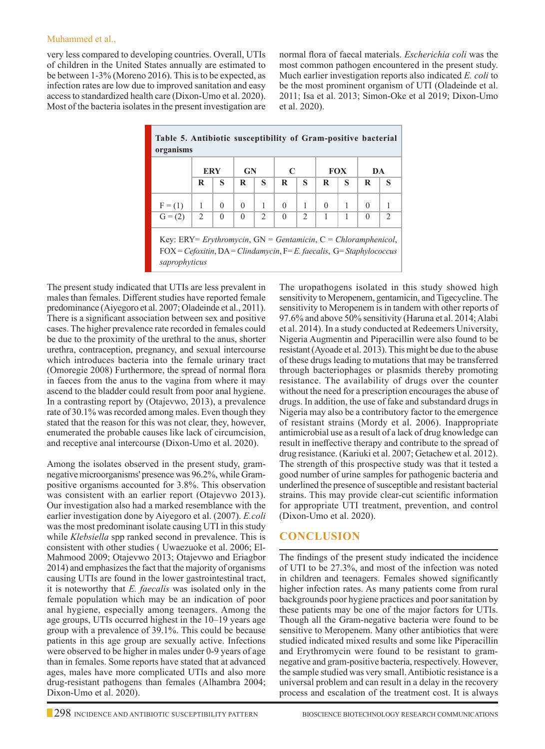#### Muhammed et al.,

very less compared to developing countries. Overall, UTIs of children in the United States annually are estimated to be between 1-3% (Moreno 2016). This is to be expected, as infection rates are low due to improved sanitation and easy access to standardized health care (Dixon-Umo et al. 2020). Most of the bacteria isolates in the present investigation are normal flora of faecal materials. *Escherichia coli* was the most common pathogen encountered in the present study. Much earlier investigation reports also indicated *E. coli* to be the most prominent organism of UTI (Oladeinde et al. 2011; Isa et al. 2013; Simon-Oke et al 2019; Dixon-Umo et al. 2020).

| Table 5. Antibiotic susceptibility of Gram-positive bacterial<br>organisms                                                                                                       |                               |          |           |                               |                             |               |          |            |          |               |  |
|----------------------------------------------------------------------------------------------------------------------------------------------------------------------------------|-------------------------------|----------|-----------|-------------------------------|-----------------------------|---------------|----------|------------|----------|---------------|--|
|                                                                                                                                                                                  |                               | ERY      | <b>GN</b> |                               | $\mathcal{C}_{\mathcal{C}}$ |               |          | <b>FOX</b> | DA       |               |  |
|                                                                                                                                                                                  | R                             | S        | R         | S                             | R                           | S             | R        | S          | R        | S             |  |
| $F = (1)$                                                                                                                                                                        | 1                             | $\Omega$ | $\Omega$  | 1                             | $\Omega$                    | 1             | $\Omega$ | 1          | $\Omega$ |               |  |
| $G = (2)$                                                                                                                                                                        | $\mathfrak{D}_{\mathfrak{p}}$ | $\Omega$ | $\Omega$  | $\mathfrak{D}_{\mathfrak{p}}$ | $\Omega$                    | $\mathcal{L}$ |          |            | 0        | $\mathcal{D}$ |  |
| Key: ERY= Erythromycin, $GN = \text{Gentamicin}, C = \text{Chloramphenicol},$<br>$FOX = Cefoxitin$ , $DA = ClintonCon$ , $F=E$ . faecalis, $G = Staphylococcus$<br>saprophyticus |                               |          |           |                               |                             |               |          |            |          |               |  |

The present study indicated that UTIs are less prevalent in males than females. Different studies have reported female predominance (Aiyegoro et al. 2007; Oladeinde et al., 2011). There is a significant association between sex and positive cases. The higher prevalence rate recorded in females could be due to the proximity of the urethral to the anus, shorter urethra, contraception, pregnancy, and sexual intercourse which introduces bacteria into the female urinary tract (Omoregie 2008) Furthermore, the spread of normal flora in faeces from the anus to the vagina from where it may ascend to the bladder could result from poor anal hygiene. In a contrasting report by (Otajevwo, 2013), a prevalence rate of 30.1% was recorded among males. Even though they stated that the reason for this was not clear, they, however, enumerated the probable causes like lack of circumcision, and receptive anal intercourse (Dixon-Umo et al. 2020).

Among the isolates observed in the present study, gramnegative microorganisms' presence was 96.2%, while Grampositive organisms accounted for 3.8%. This observation was consistent with an earlier report (Otajevwo 2013). Our investigation also had a marked resemblance with the earlier investigation done by Aiyegoro et al. (2007). *E.coli*  was the most predominant isolate causing UTI in this study while *Klebsiella* spp ranked second in prevalence. This is consistent with other studies ( Uwaezuoke et al. 2006; El-Mahmood 2009; Otajevwo 2013; Otajevwo and Eriagbor 2014) and emphasizes the fact that the majority of organisms causing UTIs are found in the lower gastrointestinal tract, it is noteworthy that *E. faecalis* was isolated only in the female population which may be an indication of poor anal hygiene, especially among teenagers. Among the age groups, UTIs occurred highest in the 10–19 years age group with a prevalence of 39.1%. This could be because patients in this age group are sexually active. Infections were observed to be higher in males under 0-9 years of age than in females. Some reports have stated that at advanced ages, males have more complicated UTIs and also more drug-resistant pathogens than females (Alhambra 2004; Dixon-Umo et al. 2020).

The uropathogens isolated in this study showed high sensitivity to Meropenem, gentamicin, and Tigecycline. The sensitivity to Meropenem is in tandem with other reports of 97.6% and above 50% sensitivity (Haruna et al. 2014; Alabi et al. 2014). In a study conducted at Redeemers University, Nigeria Augmentin and Piperacillin were also found to be resistant (Ayoade et al. 2013). This might be due to the abuse of these drugs leading to mutations that may be transferred through bacteriophages or plasmids thereby promoting resistance. The availability of drugs over the counter without the need for a prescription encourages the abuse of drugs. In addition, the use of fake and substandard drugs in Nigeria may also be a contributory factor to the emergence of resistant strains (Mordy et al. 2006). Inappropriate antimicrobial use as a result of a lack of drug knowledge can result in ineffective therapy and contribute to the spread of drug resistance. (Kariuki et al. 2007; Getachew et al. 2012). The strength of this prospective study was that it tested a good number of urine samples for pathogenic bacteria and underlined the presence of susceptible and resistant bacterial strains. This may provide clear-cut scientific information for appropriate UTI treatment, prevention, and control (Dixon-Umo et al. 2020).

## **Conclusion**

The findings of the present study indicated the incidence of UTI to be 27.3%, and most of the infection was noted in children and teenagers. Females showed significantly higher infection rates. As many patients come from rural backgrounds poor hygiene practices and poor sanitation by these patients may be one of the major factors for UTIs. Though all the Gram-negative bacteria were found to be sensitive to Meropenem. Many other antibiotics that were studied indicated mixed results and some like Piperacillin and Erythromycin were found to be resistant to gramnegative and gram-positive bacteria, respectively. However, the sample studied was very small. Antibiotic resistance is a universal problem and can result in a delay in the recovery process and escalation of the treatment cost. It is always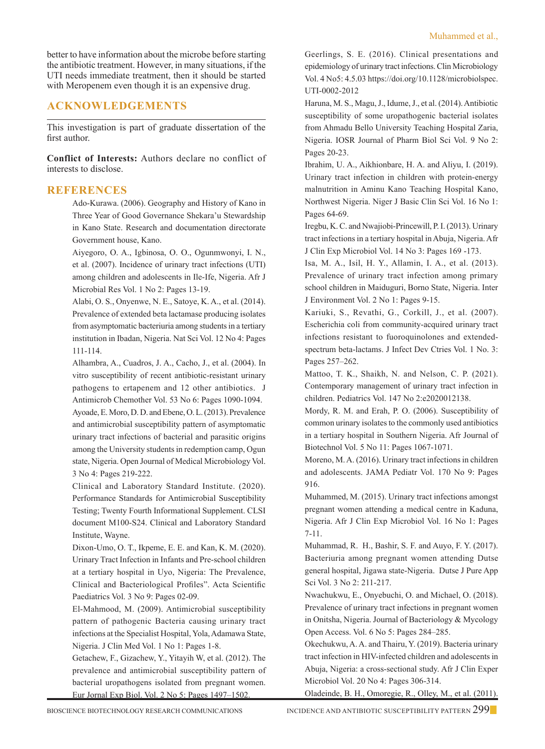better to have information about the microbe before starting the antibiotic treatment. However, in many situations, if the UTI needs immediate treatment, then it should be started with Meropenem even though it is an expensive drug.

# **Acknowledgements**

This investigation is part of graduate dissertation of the first author.

**Conflict of Interests:** Authors declare no conflict of interests to disclose.

## **References**

Ado-Kurawa. (2006). Geography and History of Kano in Three Year of Good Governance Shekara'u Stewardship in Kano State. Research and documentation directorate Government house, Kano.

Aiyegoro, O. A., Igbinosa, O. O., Ogunmwonyi, I. N., et al. (2007). Incidence of urinary tract infections (UTI) among children and adolescents in Ile-Ife, Nigeria. Afr J Microbial Res Vol. 1 No 2: Pages 13-19.

Alabi, O. S., Onyenwe, N. E., Satoye, K. A., et al. (2014). Prevalence of extended beta lactamase producing isolates from asymptomatic bacteriuria among students in a tertiary institution in Ibadan, Nigeria. Nat Sci Vol. 12 No 4: Pages 111-114.

Alhambra, A., Cuadros, J. A., Cacho, J., et al. (2004). In vitro susceptibility of recent antibiotic-resistant urinary pathogens to ertapenem and 12 other antibiotics. J Antimicrob Chemother Vol. 53 No 6: Pages 1090-1094.

Ayoade, E. Moro, D. D. and Ebene, O. L. (2013). Prevalence and antimicrobial susceptibility pattern of asymptomatic urinary tract infections of bacterial and parasitic origins among the University students in redemption camp, Ogun state, Nigeria. Open Journal of Medical Microbiology Vol. 3 No 4: Pages 219-222.

Clinical and Laboratory Standard Institute. (2020). Performance Standards for Antimicrobial Susceptibility Testing; Twenty Fourth Informational Supplement. CLSI document M100-S24. Clinical and Laboratory Standard Institute, Wayne.

Dixon-Umo, O. T., Ikpeme, E. E. and Kan, K. M. (2020). Urinary Tract Infection in Infants and Pre-school children at a tertiary hospital in Uyo, Nigeria: The Prevalence, Clinical and Bacteriological Profiles". Acta Scientific Paediatrics Vol. 3 No 9: Pages 02-09.

El-Mahmood, M. (2009). Antimicrobial susceptibility pattern of pathogenic Bacteria causing urinary tract infections at the Specialist Hospital, Yola, Adamawa State, Nigeria. J Clin Med Vol. 1 No 1: Pages 1-8.

Getachew, F., Gizachew, Y., Yitayih W, et al. (2012). The prevalence and antimicrobial susceptibility pattern of bacterial uropathogens isolated from pregnant women. Eur Jornal Exp Biol. Vol. 2 No 5: Pages 1497–1502.

Geerlings, S. E. (2016). Clinical presentations and epidemiology of urinary tract infections. Clin Microbiology Vol. 4 No5: 4.5.03 https://doi.org/10.1128/microbiolspec. UTI-0002-2012

Haruna, M. S., Magu, J., Idume, J., et al. (2014). Antibiotic susceptibility of some uropathogenic bacterial isolates from Ahmadu Bello University Teaching Hospital Zaria, Nigeria. IOSR Journal of Pharm Biol Sci Vol. 9 No 2: Pages 20-23.

Ibrahim, U. A., Aikhionbare, H. A. and Aliyu, I. (2019). Urinary tract infection in children with protein-energy malnutrition in Aminu Kano Teaching Hospital Kano, Northwest Nigeria. Niger J Basic Clin Sci Vol. 16 No 1: Pages 64-69.

Iregbu, K. C. and Nwajiobi-Princewill, P. I. (2013). Urinary tract infections in a tertiary hospital in Abuja, Nigeria. Afr J Clin Exp Microbiol Vol. 14 No 3: Pages 169 -173.

Isa, M. A., Isil, H. Y., Allamin, I. A., et al. (2013). Prevalence of urinary tract infection among primary school children in Maiduguri, Borno State, Nigeria. Inter J Environment Vol. 2 No 1: Pages 9-15.

Kariuki, S., Revathi, G., Corkill, J., et al. (2007). Escherichia coli from community-acquired urinary tract infections resistant to fuoroquinolones and extendedspectrum beta-lactams. J Infect Dev Ctries Vol. 1 No. 3: Pages 257–262.

Mattoo, T. K., Shaikh, N. and Nelson, C. P. (2021). Contemporary management of urinary tract infection in children. Pediatrics Vol. 147 No 2:e2020012138.

Mordy, R. M. and Erah, P. O. (2006). Susceptibility of common urinary isolates to the commonly used antibiotics in a tertiary hospital in Southern Nigeria. Afr Journal of Biotechnol Vol. 5 No 11: Pages 1067-1071.

Moreno, M. A. (2016). Urinary tract infections in children and adolescents. JAMA Pediatr Vol. 170 No 9: Pages 916.

Muhammed, M. (2015). Urinary tract infections amongst pregnant women attending a medical centre in Kaduna, Nigeria. Afr J Clin Exp Microbiol Vol. 16 No 1: Pages 7-11.

Muhammad, R. H., Bashir, S. F. and Auyo, F. Y. (2017). Bacteriuria among pregnant women attending Dutse general hospital, Jigawa state-Nigeria. Dutse J Pure App Sci Vol. 3 No 2: 211-217.

 Nwachukwu, E., Onyebuchi, O. and Michael, O. (2018). Prevalence of urinary tract infections in pregnant women in Onitsha, Nigeria. Journal of Bacteriology & Mycology Open Access. Vol. 6 No 5: Pages 284‒285.

Okechukwu, A. A. and Thairu, Y. (2019). Bacteria urinary tract infection in HIV-infected children and adolescents in Abuja, Nigeria: a cross-sectional study. Afr J Clin Exper Microbiol Vol. 20 No 4: Pages 306-314.

Oladeinde, B. H., Omoregie, R., Olley, M., et al. (2011).